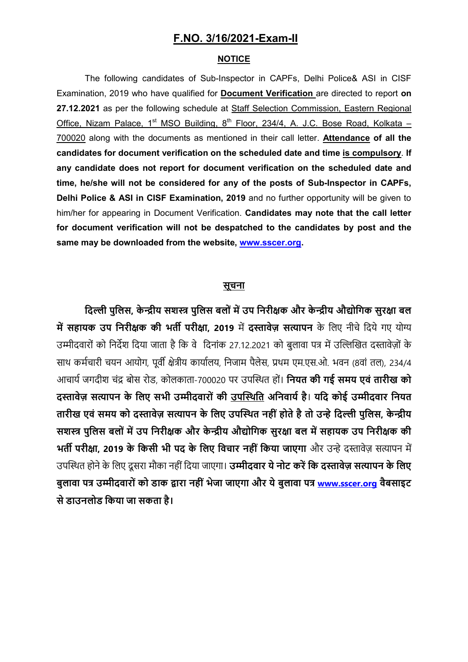## **F.NO. 3/16/2021-Exam-II**

### **NOTICE**

The following candidates of Sub-Inspector in CAPFs, Delhi Police& ASI in CISF Examination, 2019 who have qualified for **Document Verification** are directed to report **on 27.12.2021** as per the following schedule at Staff Selection Commission, Eastern Regional Office, Nizam Palace, 1<sup>st</sup> MSO Building, 8<sup>th</sup> Floor, 234/4, A. J.C. Bose Road, Kolkata – 700020 along with the documents as mentioned in their call letter. **Attendance of all the candidates for document verification on the scheduled date and time is compulsory**. **If any candidate does not report for document verification on the scheduled date and time, he/she will not be considered for any of the posts of Sub-Inspector in CAPFs, Delhi Police & ASI in CISF Examination, 2019** and no further opportunity will be given to him/her for appearing in Document Verification. **Candidates may note that the call letter for document verification will not be despatched to the candidates by post and the same may be downloaded from the website, [www.sscer.org.](http://www.sscer.org/)**

#### **सूचना**

दिल्ली पुलिस, केन्द्रीय सशस्त्र पुलिस बलों में उप निरीक्षक और केन्द्रीय औद्योगिक सुरक्षा बल  **उप सहाय सशसक नल दन्ीक औक की भर्ती ल्ीक औा, 2019** में **िस्तावेज़ सत्यालन** के लिए नीचे लिये गए योग्य उम्मीदवारों को निर्देश दिया जाता है कि वे दिनांक 27.12.2021 को बुलावा पत्र में उल्लिखित दस्तावेज़ों के साथ कर्मचारी चयन आयोग, पूर्वी क्षेत्रीय कार्यालय, निजाम पैलेस, प्रथम एम.एस.ओ. भवन (8वां तल), 234/4 आचार्य जगदीश चंद्र बोस रोड, कोलकाता-700020 पर उपस्थित हों। **नियत की गई समय एवं तारीख को** दस्तावेज़ सत्यापन के लिए सभी उम्मीदवारों की उपस्थिति अनिवार्य है। यदि कोई उम्मीदवार नियत **र्ता्ीखएवेस य सशसकमिस्तावेज़सत्यालनके दलएनलस््िर्तनही ेहमर्तेहैर्तमनन्हे दिल्लीलिदलस, के न्दरीय सशस** सशस्त्र पुलिस बलों में उप निरीक्षक और केन्द्रीय औद्योगिक सुरक्षा बल में सहायक उप निरीक्षक की **भर्तील्ीक औा, 2019 के दकसीभीलिके दलए दवचा्नही े दकय सशसाजाएुा** और उन्हे िस्तावेज़ सत्यापन में उपस्थित होने के लिए दूसरा मौका नहीं दिया जाएगा। **उम्मीदवार ये नोट करें कि दस्तावेज़ सत्यापन के लिए ंिलावाल नम्मीिवा्म ेकमडाकद्वा्ानही ेभेजाजाएुाक्य सशसेंिलावाल [www.sscer.org](http://www.sscer.org/) वैंसाइट सेडाननलमडदकय सशसाजासकर्ताहै।**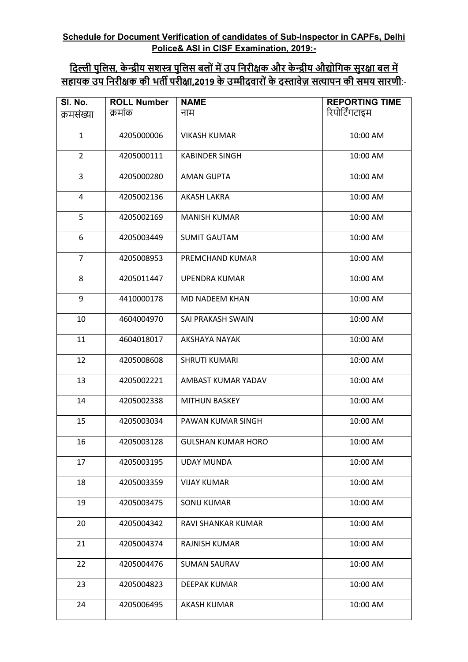## **Schedule for Document Verification of candidates of Sub-Inspector in CAPFs, Delhi Police& ASI in CISF Examination, 2019:-**

# <u>दिल्ली पुलिस, केन्द्रीय सशस्त्र पुलिस बलों में उप निरीक्षक और केन्द्रीय औद्योगिक सुरक्षा बल में</u> **सहाय सशसकनलदन्ीक औककीभर्तील्ीक औा,2019 के नम्मीिवा्म ेके िस्तावेज़सत्यालनकीस य सशससा्णी**:-

| SI. No.        | <b>ROLL Number</b> | <b>NAME</b>               | <b>REPORTING TIME</b> |
|----------------|--------------------|---------------------------|-----------------------|
| क्रमसंख्या     | क्रमांक            | नाम                       | रिपोर्टिंगटाइम        |
| $\mathbf{1}$   | 4205000006         | <b>VIKASH KUMAR</b>       | 10:00 AM              |
| $\overline{2}$ | 4205000111         | <b>KABINDER SINGH</b>     | 10:00 AM              |
| $\overline{3}$ | 4205000280         | <b>AMAN GUPTA</b>         | 10:00 AM              |
| 4              | 4205002136         | AKASH LAKRA               | 10:00 AM              |
| 5              | 4205002169         | <b>MANISH KUMAR</b>       | 10:00 AM              |
| 6              | 4205003449         | <b>SUMIT GAUTAM</b>       | 10:00 AM              |
| $\overline{7}$ | 4205008953         | PREMCHAND KUMAR           | 10:00 AM              |
| 8              | 4205011447         | <b>UPENDRA KUMAR</b>      | 10:00 AM              |
| 9              | 4410000178         | <b>MD NADEEM KHAN</b>     | 10:00 AM              |
| 10             | 4604004970         | SAI PRAKASH SWAIN         | 10:00 AM              |
| 11             | 4604018017         | AKSHAYA NAYAK             | 10:00 AM              |
| 12             | 4205008608         | <b>SHRUTI KUMARI</b>      | 10:00 AM              |
| 13             | 4205002221         | AMBAST KUMAR YADAV        | 10:00 AM              |
| 14             | 4205002338         | <b>MITHUN BASKEY</b>      | 10:00 AM              |
| 15             | 4205003034         | PAWAN KUMAR SINGH         | 10:00 AM              |
| 16             | 4205003128         | <b>GULSHAN KUMAR HORO</b> | 10:00 AM              |
| 17             | 4205003195         | <b>UDAY MUNDA</b>         | 10:00 AM              |
| 18             | 4205003359         | <b>VIJAY KUMAR</b>        | 10:00 AM              |
| 19             | 4205003475         | <b>SONU KUMAR</b>         | 10:00 AM              |
| 20             | 4205004342         | RAVI SHANKAR KUMAR        | 10:00 AM              |
| 21             | 4205004374         | RAJNISH KUMAR             | 10:00 AM              |
| 22             | 4205004476         | <b>SUMAN SAURAV</b>       | 10:00 AM              |
| 23             | 4205004823         | <b>DEEPAK KUMAR</b>       | 10:00 AM              |
| 24             | 4205006495         | <b>AKASH KUMAR</b>        | 10:00 AM              |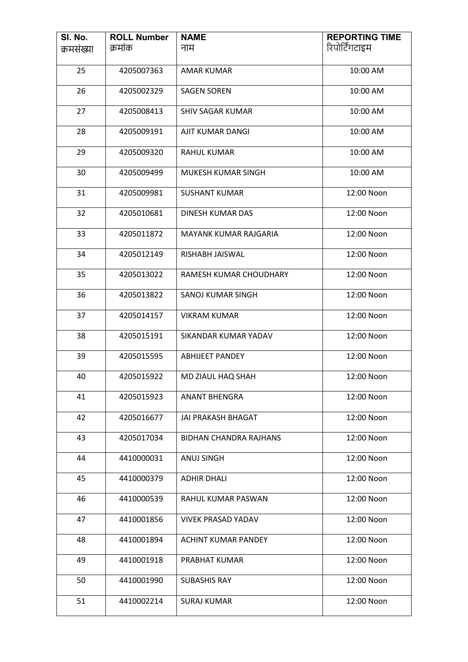| SI. No.    | <b>ROLL Number</b> | <b>NAME</b>                   | <b>REPORTING TIME</b> |
|------------|--------------------|-------------------------------|-----------------------|
| क्रमसंख्या | क्रमांक            | नाम                           | रिपोर्टिंगटाइम        |
| 25         | 4205007363         | <b>AMAR KUMAR</b>             | 10:00 AM              |
| 26         | 4205002329         | <b>SAGEN SOREN</b>            | 10:00 AM              |
| 27         | 4205008413         | <b>SHIV SAGAR KUMAR</b>       | 10:00 AM              |
| 28         | 4205009191         | AJIT KUMAR DANGI              | 10:00 AM              |
| 29         | 4205009320         | <b>RAHUL KUMAR</b>            | 10:00 AM              |
| 30         | 4205009499         | MUKESH KUMAR SINGH            | 10:00 AM              |
| 31         | 4205009981         | <b>SUSHANT KUMAR</b>          | 12:00 Noon            |
| 32         | 4205010681         | DINESH KUMAR DAS              | 12:00 Noon            |
| 33         | 4205011872         | <b>MAYANK KUMAR RAJGARIA</b>  | 12:00 Noon            |
| 34         | 4205012149         | RISHABH JAISWAL               | 12:00 Noon            |
| 35         | 4205013022         | RAMESH KUMAR CHOUDHARY        | 12:00 Noon            |
| 36         | 4205013822         | SANOJ KUMAR SINGH             | 12:00 Noon            |
| 37         | 4205014157         | <b>VIKRAM KUMAR</b>           | 12:00 Noon            |
| 38         | 4205015191         | SIKANDAR KUMAR YADAV          | 12:00 Noon            |
| 39         | 4205015595         | <b>ABHIJEET PANDEY</b>        | 12:00 Noon            |
| 40         | 4205015922         | MD ZIAUL HAQ SHAH             | 12:00 Noon            |
| 41         | 4205015923         | <b>ANANT BHENGRA</b>          | 12:00 Noon            |
| 42         | 4205016677         | JAI PRAKASH BHAGAT            | 12:00 Noon            |
| 43         | 4205017034         | <b>BIDHAN CHANDRA RAJHANS</b> | 12:00 Noon            |
| 44         | 4410000031         | ANUJ SINGH                    | 12:00 Noon            |
| 45         | 4410000379         | <b>ADHIR DHALI</b>            | 12:00 Noon            |
| 46         | 4410000539         | RAHUL KUMAR PASWAN            | 12:00 Noon            |
| 47         | 4410001856         | <b>VIVEK PRASAD YADAV</b>     | 12:00 Noon            |
| 48         | 4410001894         | ACHINT KUMAR PANDEY           | 12:00 Noon            |
| 49         | 4410001918         | PRABHAT KUMAR                 | 12:00 Noon            |
| 50         | 4410001990         | <b>SUBASHIS RAY</b>           | 12:00 Noon            |
| 51         | 4410002214         | <b>SURAJ KUMAR</b>            | 12:00 Noon            |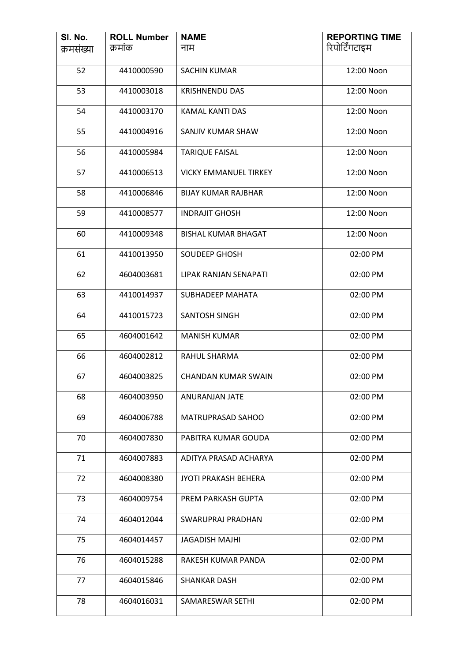| SI. No.    | <b>ROLL Number</b> | <b>NAME</b>                  | <b>REPORTING TIME</b> |
|------------|--------------------|------------------------------|-----------------------|
| क्रमसंख्या | क्रमांक            | नाम                          | रिपोर्टिंगटाइम        |
| 52         | 4410000590         | <b>SACHIN KUMAR</b>          | 12:00 Noon            |
| 53         | 4410003018         | <b>KRISHNENDU DAS</b>        | 12:00 Noon            |
| 54         | 4410003170         | KAMAL KANTI DAS              | 12:00 Noon            |
| 55         | 4410004916         | SANJIV KUMAR SHAW            | 12:00 Noon            |
| 56         | 4410005984         | <b>TARIQUE FAISAL</b>        | 12:00 Noon            |
| 57         | 4410006513         | <b>VICKY EMMANUEL TIRKEY</b> | 12:00 Noon            |
| 58         | 4410006846         | <b>BIJAY KUMAR RAJBHAR</b>   | 12:00 Noon            |
| 59         | 4410008577         | <b>INDRAJIT GHOSH</b>        | 12:00 Noon            |
| 60         | 4410009348         | <b>BISHAL KUMAR BHAGAT</b>   | 12:00 Noon            |
| 61         | 4410013950         | <b>SOUDEEP GHOSH</b>         | 02:00 PM              |
| 62         | 4604003681         | LIPAK RANJAN SENAPATI        | 02:00 PM              |
| 63         | 4410014937         | SUBHADEEP MAHATA             | 02:00 PM              |
| 64         | 4410015723         | SANTOSH SINGH                | 02:00 PM              |
| 65         | 4604001642         | <b>MANISH KUMAR</b>          | 02:00 PM              |
| 66         | 4604002812         | RAHUL SHARMA                 | 02:00 PM              |
| 67         | 4604003825         | <b>CHANDAN KUMAR SWAIN</b>   | 02:00 PM              |
| 68         | 4604003950         | ANURANJAN JATE               | 02:00 PM              |
| 69         | 4604006788         | MATRUPRASAD SAHOO            | 02:00 PM              |
| 70         | 4604007830         | PABITRA KUMAR GOUDA          | 02:00 PM              |
| 71         | 4604007883         | ADITYA PRASAD ACHARYA        | 02:00 PM              |
| 72         | 4604008380         | <b>JYOTI PRAKASH BEHERA</b>  | 02:00 PM              |
| 73         | 4604009754         | PREM PARKASH GUPTA           | 02:00 PM              |
| 74         | 4604012044         | SWARUPRAJ PRADHAN            | 02:00 PM              |
| 75         | 4604014457         | <b>JAGADISH MAJHI</b>        | 02:00 PM              |
| 76         | 4604015288         | RAKESH KUMAR PANDA           | 02:00 PM              |
| 77         | 4604015846         | <b>SHANKAR DASH</b>          | 02:00 PM              |
| 78         | 4604016031         | SAMARESWAR SETHI             | 02:00 PM              |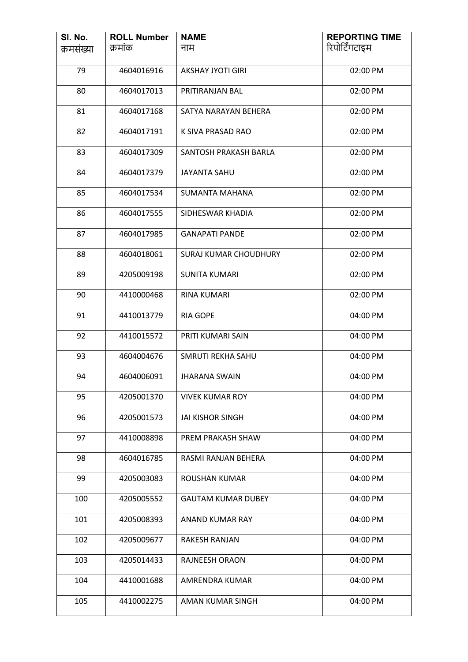| SI. No.    | <b>ROLL Number</b> | <b>NAME</b>                  | <b>REPORTING TIME</b> |
|------------|--------------------|------------------------------|-----------------------|
| क्रमसंख्या | क्रमांक            | नाम                          | रिपोर्टिंगटाइम        |
| 79         | 4604016916         | <b>AKSHAY JYOTI GIRI</b>     | 02:00 PM              |
| 80         | 4604017013         | PRITIRANJAN BAL              | 02:00 PM              |
| 81         | 4604017168         | SATYA NARAYAN BEHERA         | 02:00 PM              |
| 82         | 4604017191         | K SIVA PRASAD RAO            | 02:00 PM              |
| 83         | 4604017309         | SANTOSH PRAKASH BARLA        | 02:00 PM              |
| 84         | 4604017379         | <b>JAYANTA SAHU</b>          | 02:00 PM              |
| 85         | 4604017534         | <b>SUMANTA MAHANA</b>        | 02:00 PM              |
| 86         | 4604017555         | SIDHESWAR KHADIA             | 02:00 PM              |
| 87         | 4604017985         | <b>GANAPATI PANDE</b>        | 02:00 PM              |
| 88         | 4604018061         | <b>SURAJ KUMAR CHOUDHURY</b> | 02:00 PM              |
| 89         | 4205009198         | <b>SUNITA KUMARI</b>         | 02:00 PM              |
| 90         | 4410000468         | <b>RINA KUMARI</b>           | 02:00 PM              |
| 91         | 4410013779         | <b>RIA GOPE</b>              | 04:00 PM              |
| 92         | 4410015572         | PRITI KUMARI SAIN            | 04:00 PM              |
| 93         | 4604004676         | <b>SMRUTI REKHA SAHU</b>     | 04:00 PM              |
| 94         | 4604006091         | <b>JHARANA SWAIN</b>         | 04:00 PM              |
| 95         | 4205001370         | <b>VIVEK KUMAR ROY</b>       | 04:00 PM              |
| 96         | 4205001573         | JAI KISHOR SINGH             | 04:00 PM              |
| 97         | 4410008898         | PREM PRAKASH SHAW            | 04:00 PM              |
| 98         | 4604016785         | RASMI RANJAN BEHERA          | 04:00 PM              |
| 99         | 4205003083         | <b>ROUSHAN KUMAR</b>         | 04:00 PM              |
| 100        | 4205005552         | <b>GAUTAM KUMAR DUBEY</b>    | 04:00 PM              |
| 101        | 4205008393         | ANAND KUMAR RAY              | 04:00 PM              |
| 102        | 4205009677         | <b>RAKESH RANJAN</b>         | 04:00 PM              |
| 103        | 4205014433         | <b>RAJNEESH ORAON</b>        | 04:00 PM              |
| 104        | 4410001688         | AMRENDRA KUMAR               | 04:00 PM              |
| 105        | 4410002275         | AMAN KUMAR SINGH             | 04:00 PM              |